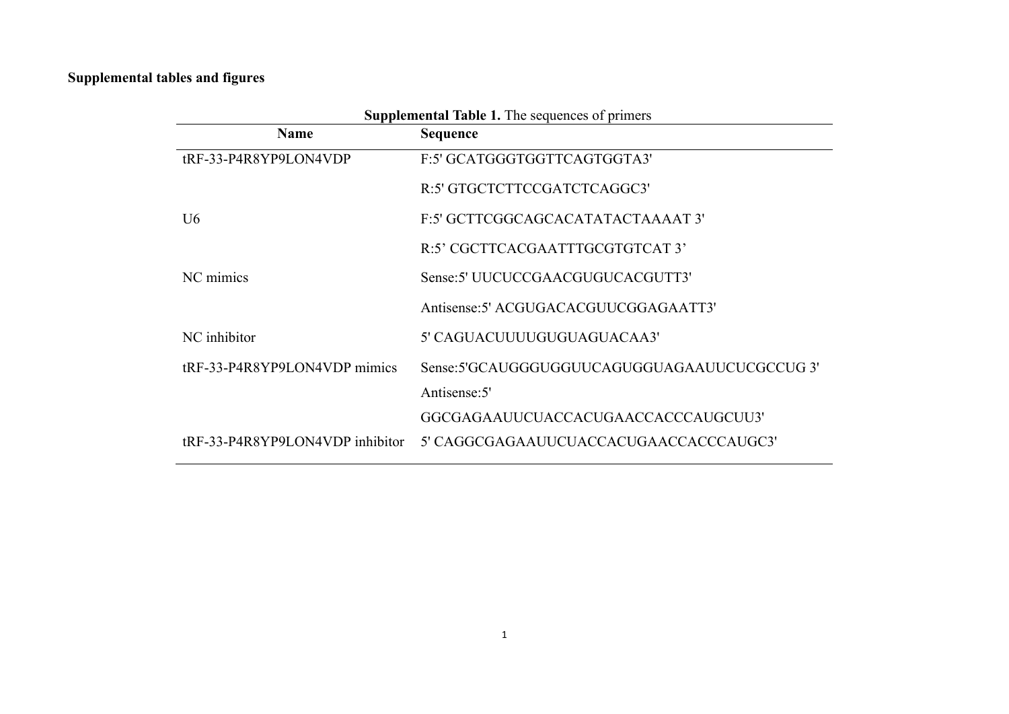## **Supplemental tables and figures**

| <b>Supplemental Table 1.</b> The sequences of primers |                                              |  |  |
|-------------------------------------------------------|----------------------------------------------|--|--|
| <b>Name</b>                                           | <b>Sequence</b>                              |  |  |
| tRF-33-P4R8YP9LON4VDP                                 | F:5' GCATGGGTGGTTCAGTGGTA3'                  |  |  |
|                                                       | R:5' GTGCTCTTCCGATCTCAGGC3'                  |  |  |
| U <sub>6</sub>                                        | F:5' GCTTCGGCAGCACATATACTAAAAT 3'            |  |  |
|                                                       | R:5' CGCTTCACGAATTTGCGTGTCAT 3'              |  |  |
| NC mimics                                             | Sense: 5' UUCUCCGAACGUGUCACGUTT3'            |  |  |
|                                                       | Antisense: 5' ACGUGACACGUUCGGAGAATT3'        |  |  |
| NC inhibitor                                          | 5' CAGUACUUUUGUGUAGUACAA3'                   |  |  |
| tRF-33-P4R8YP9LON4VDP mimics                          | Sense:5'GCAUGGGUGGUUCAGUGGUAGAAUUCUCGCCUG 3' |  |  |
|                                                       | Antisense: 5'                                |  |  |
|                                                       | GGCGAGAAUUCUACCACUGAACCACCCAUGCUU3'          |  |  |
| tRF-33-P4R8YP9LON4VDP inhibitor                       | 5' CAGGCGAGAAUUCUACCACUGAACCACCCAUGC3'       |  |  |

 **Supplemental Table 1.** The sequences of primers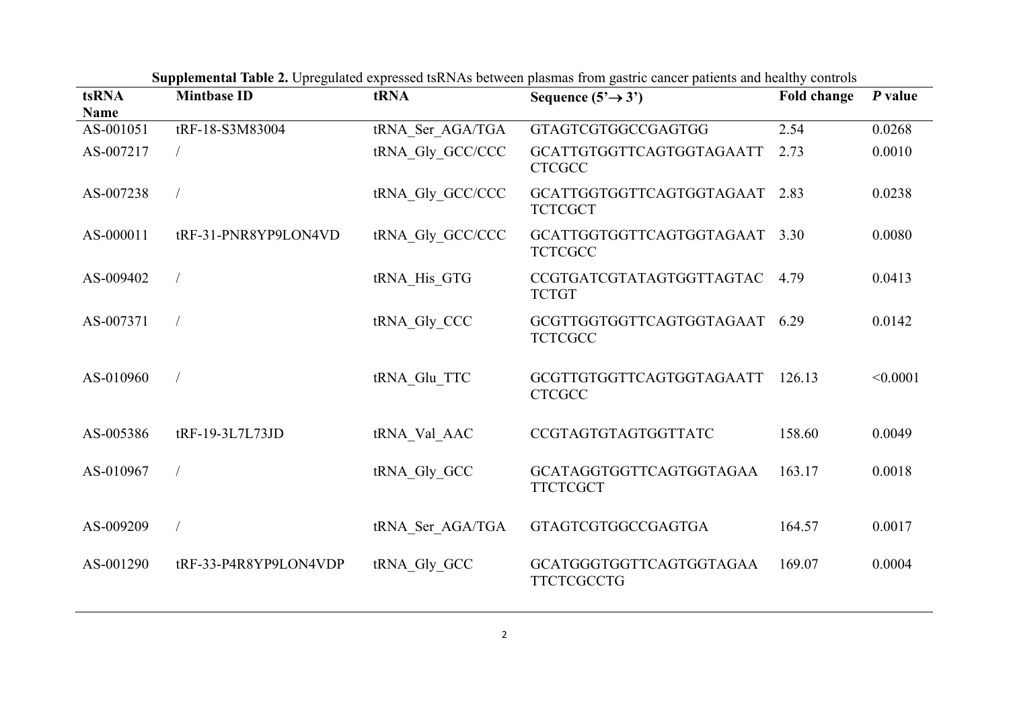| tsRNA<br><b>Name</b> | <b>Mintbase ID</b>    | tRNA             | Sequence $(5' \rightarrow 3')$                  | <b>Fold change</b> | P value  |
|----------------------|-----------------------|------------------|-------------------------------------------------|--------------------|----------|
| AS-001051            | tRF-18-S3M83004       | tRNA Ser AGA/TGA | <b>GTAGTCGTGGCCGAGTGG</b>                       | 2.54               | 0.0268   |
| AS-007217            |                       | tRNA Gly GCC/CCC | GCATTGTGGTTCAGTGGTAGAATT<br><b>CTCGCC</b>       | 2.73               | 0.0010   |
| AS-007238            |                       | tRNA Gly GCC/CCC | GCATTGGTGGTTCAGTGGTAGAAT 2.83<br><b>TCTCGCT</b> |                    | 0.0238   |
| AS-000011            | tRF-31-PNR8YP9LON4VD  | tRNA Gly GCC/CCC | GCATTGGTGGTTCAGTGGTAGAAT 3.30<br><b>TCTCGCC</b> |                    | 0.0080   |
| AS-009402            |                       | tRNA His GTG     | CCGTGATCGTATAGTGGTTAGTAC 4.79<br><b>TCTGT</b>   |                    | 0.0413   |
| AS-007371            |                       | tRNA Gly CCC     | GCGTTGGTGGTTCAGTGGTAGAAT 6.29<br><b>TCTCGCC</b> |                    | 0.0142   |
| AS-010960            |                       | tRNA Glu TTC     | GCGTTGTGGTTCAGTGGTAGAATT<br><b>CTCGCC</b>       | 126.13             | < 0.0001 |
| AS-005386            | tRF-19-3L7L73JD       | tRNA Val AAC     | CCGTAGTGTAGTGGTTATC                             | 158.60             | 0.0049   |
| AS-010967            |                       | tRNA Gly GCC     | GCATAGGTGGTTCAGTGGTAGAA<br><b>TTCTCGCT</b>      | 163.17             | 0.0018   |
| AS-009209            |                       | tRNA Ser AGA/TGA | <b>GTAGTCGTGGCCGAGTGA</b>                       | 164.57             | 0.0017   |
| AS-001290            | tRF-33-P4R8YP9LON4VDP | tRNA Gly GCC     | GCATGGGTGGTTCAGTGGTAGAA<br><b>TTCTCGCCTG</b>    | 169.07             | 0.0004   |

**Supplemental Table 2.** Upregulated expressed tsRNAs between plasmas from gastric cancer patients and healthy controls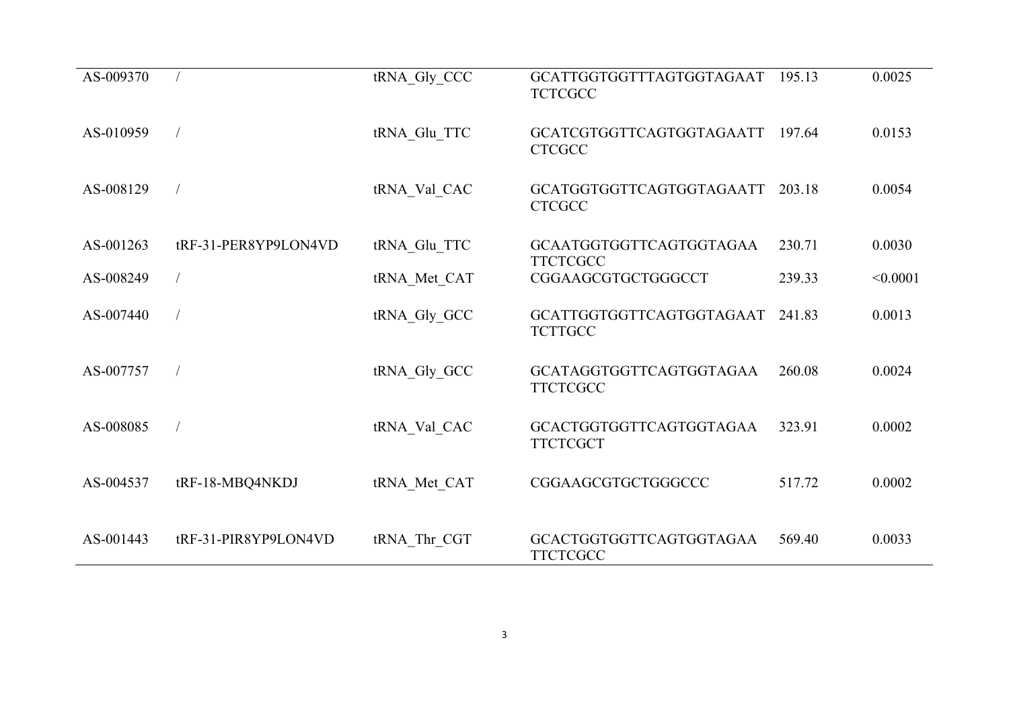| AS-009370 |                      | tRNA Gly CCC | GCATTGGTGGTTTAGTGGTAGAAT<br><b>TCTCGCC</b> | 195.13 | 0.0025   |
|-----------|----------------------|--------------|--------------------------------------------|--------|----------|
| AS-010959 |                      | tRNA Glu TTC | GCATCGTGGTTCAGTGGTAGAATT<br><b>CTCGCC</b>  | 197.64 | 0.0153   |
| AS-008129 |                      | tRNA Val CAC | GCATGGTGGTTCAGTGGTAGAATT<br><b>CTCGCC</b>  | 203.18 | 0.0054   |
| AS-001263 | tRF-31-PER8YP9LON4VD | tRNA_Glu_TTC | GCAATGGTGGTTCAGTGGTAGAA<br><b>TTCTCGCC</b> | 230.71 | 0.0030   |
| AS-008249 |                      | tRNA Met CAT | CGGAAGCGTGCTGGGCCT                         | 239.33 | < 0.0001 |
| AS-007440 |                      | tRNA Gly GCC | GCATTGGTGGTTCAGTGGTAGAAT<br><b>TCTTGCC</b> | 241.83 | 0.0013   |
| AS-007757 |                      | tRNA Gly_GCC | GCATAGGTGGTTCAGTGGTAGAA<br><b>TTCTCGCC</b> | 260.08 | 0.0024   |
| AS-008085 |                      | tRNA Val CAC | GCACTGGTGGTTCAGTGGTAGAA<br><b>TTCTCGCT</b> | 323.91 | 0.0002   |
| AS-004537 | tRF-18-MBQ4NKDJ      | tRNA Met CAT | CGGAAGCGTGCTGGGCCC                         | 517.72 | 0.0002   |
| AS-001443 | tRF-31-PIR8YP9LON4VD | tRNA_Thr_CGT | GCACTGGTGGTTCAGTGGTAGAA<br><b>TTCTCGCC</b> | 569.40 | 0.0033   |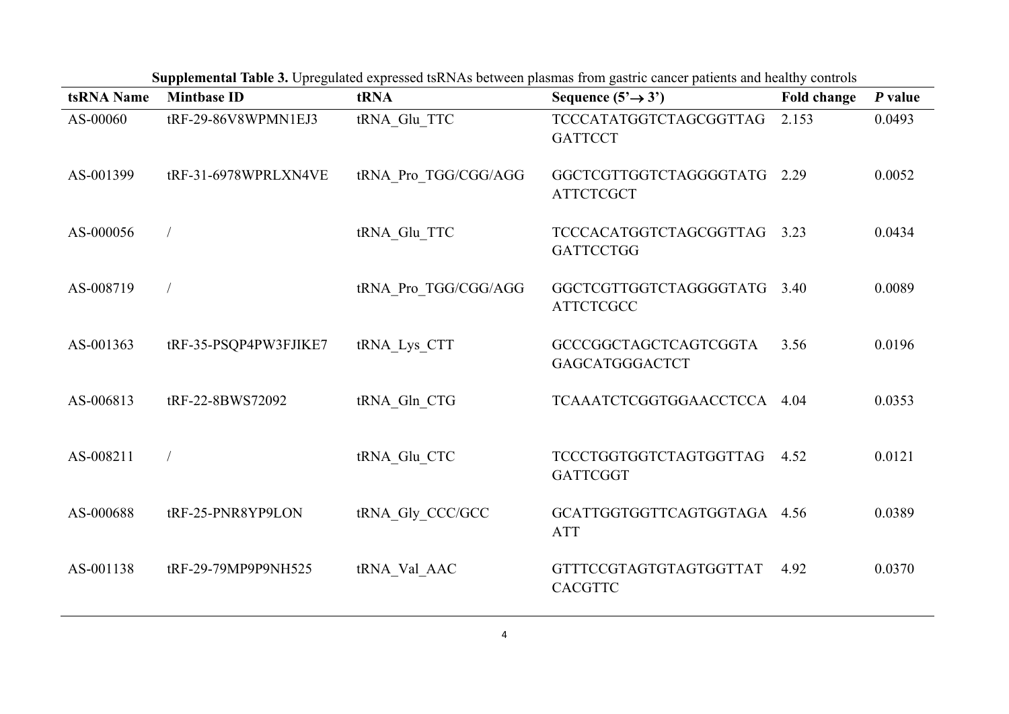| tsRNA Name | <b>Mintbase ID</b>    | tRNA                 | oupprementar Table of Optogalated expressed isterns occureen plasmas from gastric cancel patients and healthy controls<br>Sequence $(5' \rightarrow 3')$ | <b>Fold change</b> | P value |
|------------|-----------------------|----------------------|----------------------------------------------------------------------------------------------------------------------------------------------------------|--------------------|---------|
| AS-00060   | tRF-29-86V8WPMN1EJ3   | tRNA Glu TTC         | TCCCATATGGTCTAGCGGTTAG<br><b>GATTCCT</b>                                                                                                                 | 2.153              | 0.0493  |
| AS-001399  | tRF-31-6978WPRLXN4VE  | tRNA Pro TGG/CGG/AGG | GGCTCGTTGGTCTAGGGGTATG 2.29<br><b>ATTCTCGCT</b>                                                                                                          |                    | 0.0052  |
| AS-000056  | $\sqrt{2}$            | tRNA Glu TTC         | TCCCACATGGTCTAGCGGTTAG 3.23<br><b>GATTCCTGG</b>                                                                                                          |                    | 0.0434  |
| AS-008719  |                       | tRNA Pro TGG/CGG/AGG | GGCTCGTTGGTCTAGGGGTATG 3.40<br><b>ATTCTCGCC</b>                                                                                                          |                    | 0.0089  |
| AS-001363  | tRF-35-PSQP4PW3FJIKE7 | tRNA Lys CTT         | GCCCGGCTAGCTCAGTCGGTA<br>GAGCATGGGACTCT                                                                                                                  | 3.56               | 0.0196  |
| AS-006813  | tRF-22-8BWS72092      | tRNA Gln CTG         | TCAAATCTCGGTGGAACCTCCA 4.04                                                                                                                              |                    | 0.0353  |
| AS-008211  | $\sqrt{2}$            | tRNA Glu CTC         | TCCCTGGTGGTCTAGTGGTTAG 4.52<br><b>GATTCGGT</b>                                                                                                           |                    | 0.0121  |
| AS-000688  | tRF-25-PNR8YP9LON     | tRNA Gly CCC/GCC     | GCATTGGTGGTTCAGTGGTAGA 4.56<br><b>ATT</b>                                                                                                                |                    | 0.0389  |
| AS-001138  | tRF-29-79MP9P9NH525   | tRNA Val AAC         | GTTTCCGTAGTGTAGTGGTTAT<br><b>CACGTTC</b>                                                                                                                 | 4.92               | 0.0370  |

**Supplemental Table 3.** Upregulated expressed tsRNAs between plasmas from gastric cancer patients and healthy controls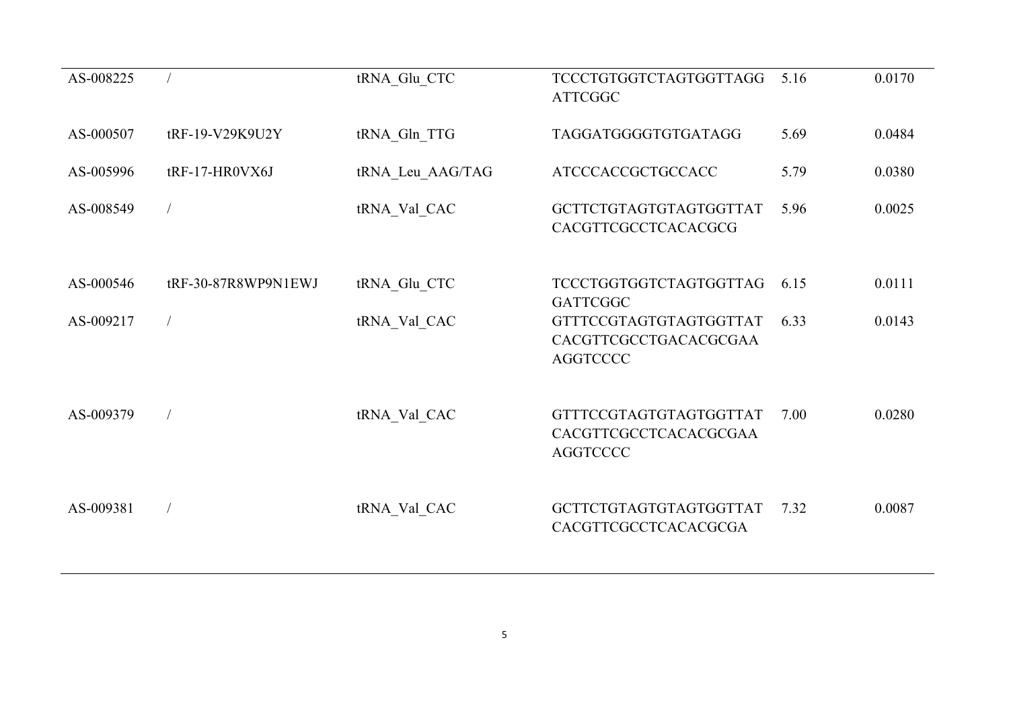| AS-008225 |                     | tRNA Glu CTC     | <b>TCCCTGTGGTCTAGTGGTTAGG</b><br><b>ATTCGGC</b>                    | 5.16 | 0.0170 |
|-----------|---------------------|------------------|--------------------------------------------------------------------|------|--------|
| AS-000507 | tRF-19-V29K9U2Y     | tRNA Gln TTG     | TAGGATGGGGTGTGATAGG                                                | 5.69 | 0.0484 |
| AS-005996 | tRF-17-HR0VX6J      | tRNA Leu AAG/TAG | ATCCCACCGCTGCCACC                                                  | 5.79 | 0.0380 |
| AS-008549 |                     | tRNA Val CAC     | GCTTCTGTAGTGTAGTGGTTAT<br>CACGTTCGCCTCACACGCG                      | 5.96 | 0.0025 |
| AS-000546 | tRF-30-87R8WP9N1EWJ | tRNA Glu CTC     | <b>TCCCTGGTGGTCTAGTGGTTAG</b><br><b>GATTCGGC</b>                   | 6.15 | 0.0111 |
| AS-009217 |                     | tRNA Val CAC     | GTTTCCGTAGTGTAGTGGTTAT<br>CACGTTCGCCTGACACGCGAA<br><b>AGGTCCCC</b> | 6.33 | 0.0143 |
| AS-009379 |                     | tRNA Val CAC     | GTTTCCGTAGTGTAGTGGTTAT<br>CACGTTCGCCTCACACGCGAA<br><b>AGGTCCCC</b> | 7.00 | 0.0280 |
| AS-009381 |                     | tRNA Val CAC     | GCTTCTGTAGTGTAGTGGTTAT<br>CACGTTCGCCTCACACGCGA                     | 7.32 | 0.0087 |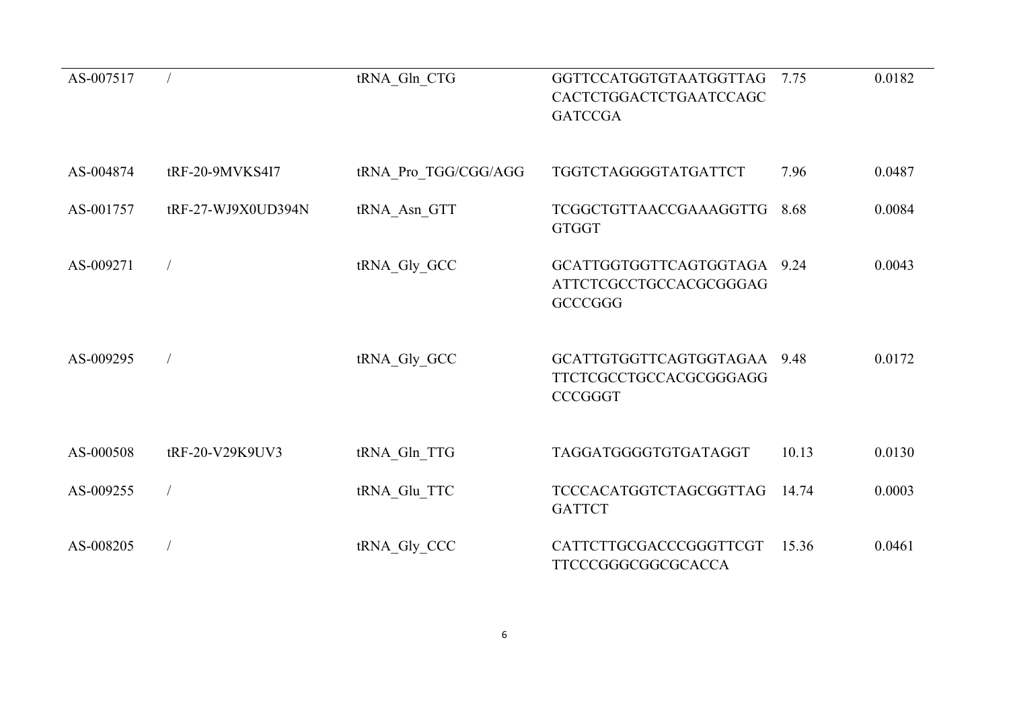| AS-007517 |                    | tRNA Gln CTG         | GGTTCCATGGTGTAATGGTTAG<br>CACTCTGGACTCTGAATCCAGC<br><b>GATCCGA</b>      | 7.75  | 0.0182 |
|-----------|--------------------|----------------------|-------------------------------------------------------------------------|-------|--------|
|           |                    |                      |                                                                         |       |        |
| AS-004874 | tRF-20-9MVKS4I7    | tRNA Pro TGG/CGG/AGG | TGGTCTAGGGGTATGATTCT                                                    | 7.96  | 0.0487 |
| AS-001757 | tRF-27-WJ9X0UD394N | tRNA Asn GTT         | <b>TCGGCTGTTAACCGAAAGGTTG</b><br><b>GTGGT</b>                           | 8.68  | 0.0084 |
| AS-009271 |                    | tRNA_Gly_GCC         | GCATTGGTGGTTCAGTGGTAGA 9.24<br>ATTCTCGCCTGCCACGCGGGAG<br><b>GCCCGGG</b> |       | 0.0043 |
| AS-009295 |                    | tRNA Gly GCC         | GCATTGTGGTTCAGTGGTAGAA 9.48<br>TTCTCGCCTGCCACGCGGGAGG<br><b>CCCGGGT</b> |       | 0.0172 |
| AS-000508 | tRF-20-V29K9UV3    | tRNA_Gln_TTG         | TAGGATGGGGTGTGATAGGT                                                    | 10.13 | 0.0130 |
| AS-009255 |                    | tRNA Glu TTC         | <b>TCCCACATGGTCTAGCGGTTAG</b><br><b>GATTCT</b>                          | 14.74 | 0.0003 |
| AS-008205 |                    | tRNA_Gly_CCC         | CATTCTTGCGACCCGGGTTCGT<br>TTCCCGGGCGGCGCACCA                            | 15.36 | 0.0461 |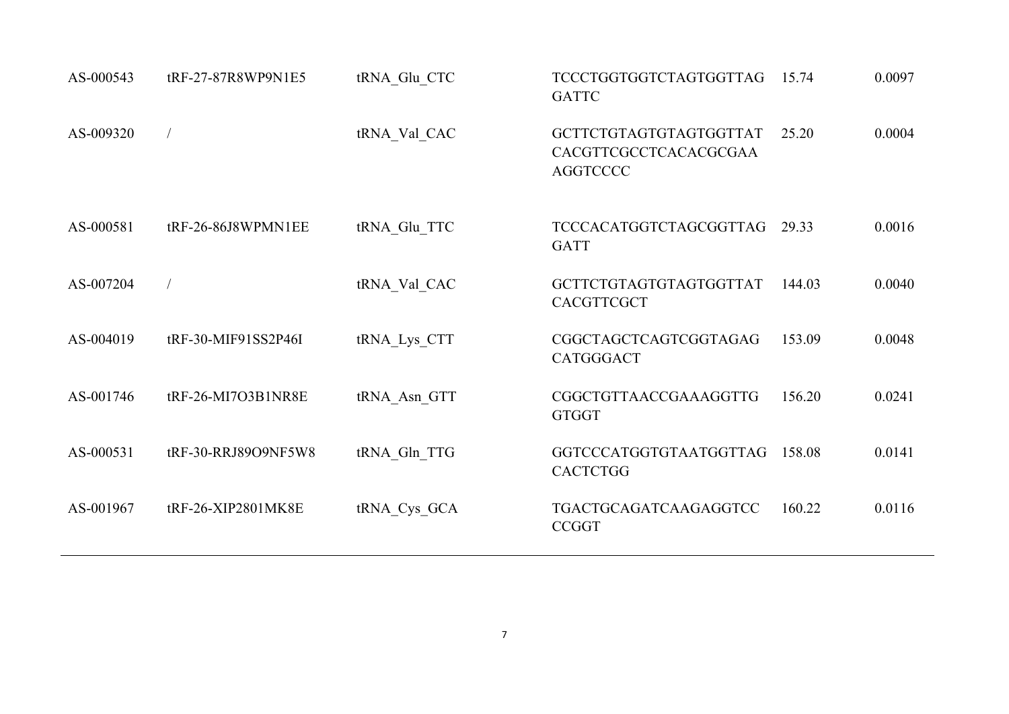| AS-000543 | tRF-27-87R8WP9N1E5  | tRNA_Glu_CTC | <b>TCCCTGGTGGTCTAGTGGTTAG</b><br><b>GATTC</b>                      | 15.74  | 0.0097 |
|-----------|---------------------|--------------|--------------------------------------------------------------------|--------|--------|
| AS-009320 |                     | tRNA Val CAC | GCTTCTGTAGTGTAGTGGTTAT<br>CACGTTCGCCTCACACGCGAA<br><b>AGGTCCCC</b> | 25.20  | 0.0004 |
| AS-000581 | tRF-26-86J8WPMN1EE  | tRNA Glu TTC | <b>TCCCACATGGTCTAGCGGTTAG</b><br><b>GATT</b>                       | 29.33  | 0.0016 |
| AS-007204 |                     | tRNA Val CAC | GCTTCTGTAGTGTAGTGGTTAT<br>CACGTTCGCT                               | 144.03 | 0.0040 |
| AS-004019 | tRF-30-MIF91SS2P46I | tRNA Lys CTT | CGGCTAGCTCAGTCGGTAGAG<br><b>CATGGGACT</b>                          | 153.09 | 0.0048 |
| AS-001746 | tRF-26-MI7O3B1NR8E  | tRNA Asn GTT | CGGCTGTTAACCGAAAGGTTG<br><b>GTGGT</b>                              | 156.20 | 0.0241 |
| AS-000531 | tRF-30-RRJ89O9NF5W8 | tRNA Gln TTG | GGTCCCATGGTGTAATGGTTAG<br><b>CACTCTGG</b>                          | 158.08 | 0.0141 |
| AS-001967 | tRF-26-XIP2801MK8E  | tRNA Cys GCA | TGACTGCAGATCAAGAGGTCC<br><b>CCGGT</b>                              | 160.22 | 0.0116 |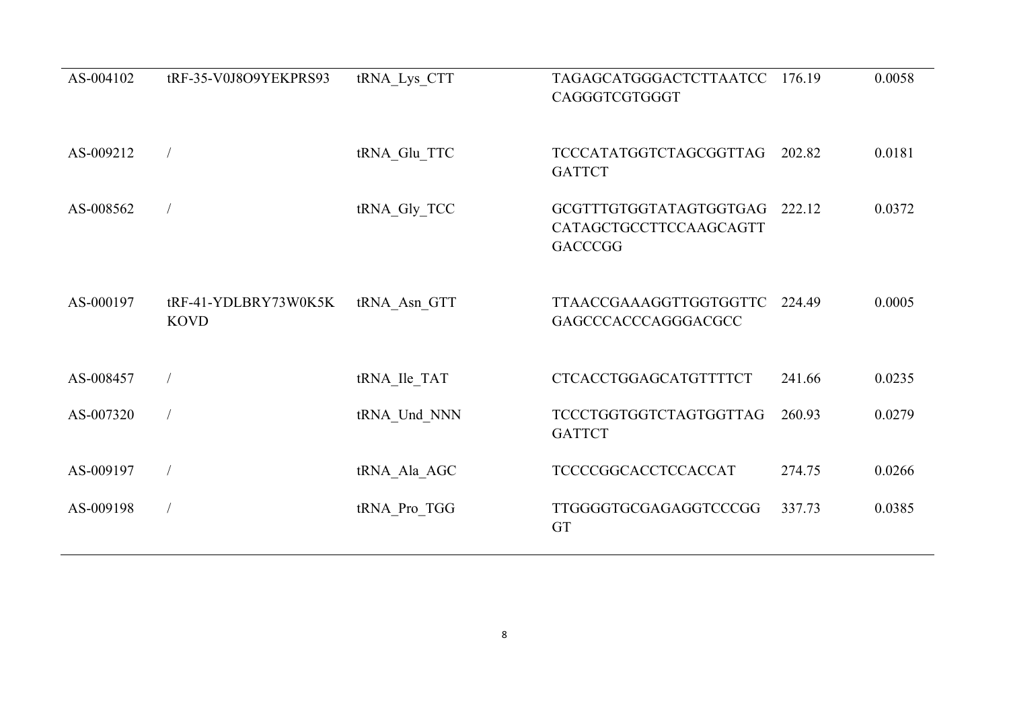| AS-004102 | tRF-35-V0J8O9YEKPRS93               | tRNA Lys CTT | TAGAGCATGGGACTCTTAATCC<br>CAGGGTCGTGGGT                            | 176.19 | 0.0058 |
|-----------|-------------------------------------|--------------|--------------------------------------------------------------------|--------|--------|
| AS-009212 |                                     | tRNA_Glu_TTC | <b>TCCCATATGGTCTAGCGGTTAG</b><br><b>GATTCT</b>                     | 202.82 | 0.0181 |
| AS-008562 |                                     | tRNA_Gly_TCC | GCGTTTGTGGTATAGTGGTGAG<br>CATAGCTGCCTTCCAAGCAGTT<br><b>GACCCGG</b> | 222.12 | 0.0372 |
| AS-000197 | tRF-41-YDLBRY73W0K5K<br><b>KOVD</b> | tRNA Asn GTT | <b>TTAACCGAAAGGTTGGTGGTTC</b><br>GAGCCCACCCAGGGACGCC               | 224.49 | 0.0005 |
| AS-008457 |                                     | tRNA Ile TAT | <b>CTCACCTGGAGCATGTTTTCT</b>                                       | 241.66 | 0.0235 |
| AS-007320 |                                     | tRNA Und NNN | <b>TCCCTGGTGGTCTAGTGGTTAG</b><br><b>GATTCT</b>                     | 260.93 | 0.0279 |
| AS-009197 |                                     | tRNA Ala AGC | TCCCCGGCACCTCCACCAT                                                | 274.75 | 0.0266 |
| AS-009198 |                                     | tRNA Pro TGG | TTGGGGTGCGAGAGGTCCCGG<br><b>GT</b>                                 | 337.73 | 0.0385 |